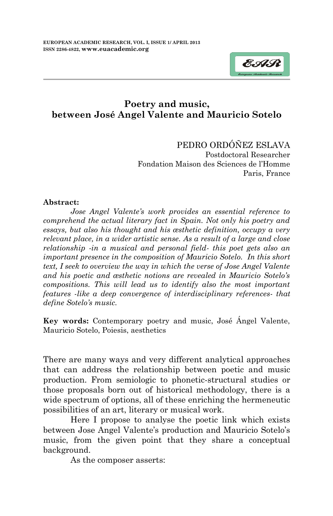

## **Poetry and music, between José Angel Valente and Mauricio Sotelo**

PEDRO ORDÓÑEZ ESLAVA Postdoctoral Researcher Fondation Maison des Sciences de l"Homme Paris, France

## **Abstract:**

*Jose Angel Valente's work provides an essential reference to comprehend the actual literary fact in Spain. Not only his poetry and essays, but also his thought and his æsthetic definition, occupy a very relevant place, in a wider artistic sense. As a result of a large and close relationship -in a musical and personal field- this poet gets also an important presence in the composition of Mauricio Sotelo. In this short text, I seek to overview the way in which the verse of Jose Angel Valente and his poetic and æsthetic notions are revealed in Mauricio Sotelo's compositions. This will lead us to identify also the most important features -like a deep convergence of interdisciplinary references- that define Sotelo's music.*

**Key words:** Contemporary poetry and music, José Ángel Valente, Mauricio Sotelo, Poiesis, aesthetics

There are many ways and very different analytical approaches that can address the relationship between poetic and music production. From semiologic to phonetic-structural studies or those proposals born out of historical methodology, there is a wide spectrum of options, all of these enriching the hermeneutic possibilities of an art, literary or musical work.

Here I propose to analyse the poetic link which exists between Jose Angel Valente's production and Mauricio Sotelo's music, from the given point that they share a conceptual background.

As the composer asserts: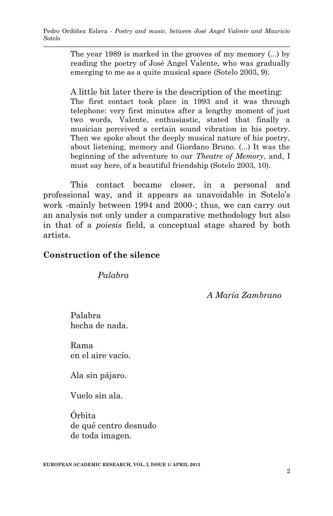The year 1989 is marked in the grooves of my memory (...) by reading the poetry of José Angel Valente, who was gradually emerging to me as a quite musical space (Sotelo 2003, 9).

A little bit later there is the description of the meeting: The first contact took place in 1993 and it was through telephone: very first minutes after a lengthy moment of just two words, Valente, enthusiastic, stated that finally a musician perceived a certain sound vibration in his poetry. Then we spoke about the deeply musical nature of his poetry, about listening, memory and Giordano Bruno. (...) It was the beginning of the adventure to our *Theatre of Memory*, and, I must say here, of a beautiful friendship (Sotelo 2003, 10).

This contact became closer, in a personal and professional way, and it appears as unavoidable in Sotelo"s work -mainly between 1994 and 2000-; thus, we can carry out an analysis not only under a comparative methodology but also in that of a *poiesis* field, a conceptual stage shared by both artists.

## **Construction of the silence**

*Palabra*

*A María Zambrano*

Palabra hecha de nada.

Rama en el aire vacío.

Ala sin pájaro.

Vuelo sin ala.

Órbita de qué centro desnudo de toda imagen.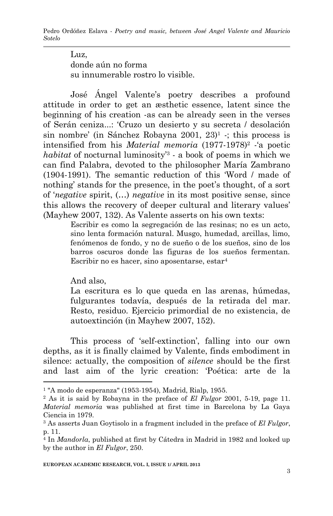Luz, donde aún no forma su innumerable rostro lo visible.

José Ángel Valente's poetry describes a profound attitude in order to get an æsthetic essence, latent since the beginning of his creation -as can be already seen in the verses of Serán ceniza...: "Cruzo un desierto y su secreta / desolación sin nombre' (in Sánchez Robayna 2001, 23)<sup>1</sup> -; this process is intensified from his *Material memoria* (1977-1978)<sup>2</sup> - a poetic *habitat* of nocturnal luminosity<sup>3</sup> - a book of poems in which we can find Palabra, devoted to the philosopher María Zambrano (1904-1991). The semantic reduction of this "Word / made of nothing' stands for the presence, in the poet's thought, of a sort of "*negative* spirit, (…) *negative* in its most positive sense, since this allows the recovery of deeper cultural and literary values' (Mayhew 2007, 132). As Valente asserts on his own texts:

Escribir es como la segregación de las resinas; no es un acto, sino lenta formación natural. Musgo, humedad, arcillas, limo, fenómenos de fondo, y no de sueño o de los sueños, sino de los barros oscuros donde las figuras de los sueños fermentan. Escribir no es hacer, sino aposentarse, estar<sup>4</sup>

And also,

1

La escritura es lo que queda en las arenas, húmedas, fulgurantes todavía, después de la retirada del mar. Resto, residuo. Ejercicio primordial de no existencia, de autoextinción (in Mayhew 2007, 152).

This process of 'self-extinction', falling into our own depths, as it is finally claimed by Valente, finds embodiment in silence: actually, the composition of *silence* should be the first and last aim of the lyric creation: "Poética: arte de la

<sup>1</sup> "A modo de esperanza" (1953-1954), Madrid, Rialp, 1955.

<sup>2</sup> As it is said by Robayna in the preface of *El Fulgor* 2001, 5-19, page 11. *Material memoria* was published at first time in Barcelona by La Gaya Ciencia in 1979.

<sup>3</sup> As asserts Juan Goytisolo in a fragment included in the preface of *El Fulgor*, p. 11.

<sup>4</sup> In *Mandorla*, published at first by Cátedra in Madrid in 1982 and looked up by the author in *El Fulgor*, 250.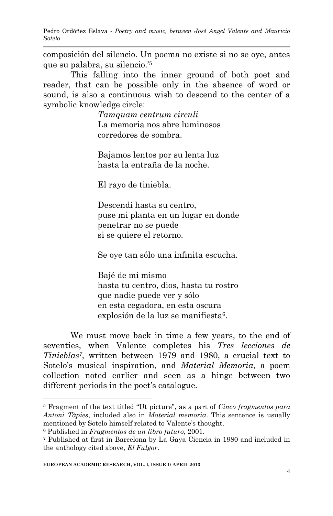Pedro Ordóñez Eslava - *Poetry and music, between José Angel Valente and Mauricio Sotelo*

composición del silencio. Un poema no existe si no se oye, antes que su palabra, su silencio."<sup>5</sup>

This falling into the inner ground of both poet and reader, that can be possible only in the absence of word or sound, is also a continuous wish to descend to the center of a symbolic knowledge circle:

> *Tamquam centrum circuli*  La memoria nos abre luminosos corredores de sombra.

> Bajamos lentos por su lenta luz hasta la entraña de la noche.

El rayo de tiniebla.

Descendí hasta su centro, puse mi planta en un lugar en donde penetrar no se puede si se quiere el retorno.

Se oye tan sólo una infinita escucha.

Bajé de mi mismo hasta tu centro, dios, hasta tu rostro que nadie puede ver y sólo en esta cegadora, en esta oscura explosión de la luz se manifiesta<sup>6</sup>.

 We must move back in time a few years, to the end of seventies, when Valente completes his *Tres lecciones de Tinieblas7*, written between 1979 and 1980, a crucial text to Sotelo"s musical inspiration, and *Material Memoria*, a poem collection noted earlier and seen as a hinge between two different periods in the poet's catalogue.

**.** 

<sup>5</sup> Fragment of the text titled "Ut picture", as a part of *Cinco fragmentos para Antoni Tàpies*, included also in *Material memoria*. This sentence is usually mentioned by Sotelo himself related to Valente"s thought.

<sup>6</sup> Published in *Fragmentos de un libro futuro*, 2001.

<sup>7</sup> Published at first in Barcelona by La Gaya Ciencia in 1980 and included in the anthology cited above, *El Fulgor*.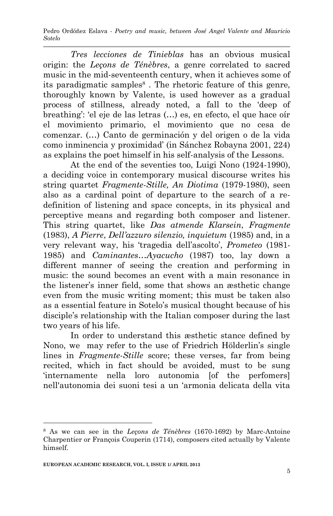Pedro Ordóñez Eslava - *Poetry and music, between José Angel Valente and Mauricio Sotelo*

*Tres lecciones de Tinieblas* has an obvious musical origin: the *Leçons de Ténèbres*, a genre correlated to sacred music in the mid-seventeenth century, when it achieves some of its paradigmatic samples<sup>8</sup>. The rhetoric feature of this genre, thoroughly known by Valente, is used however as a gradual process of stillness, already noted, a fall to the "deep of breathing': 'el eje de las letras (...) es, en efecto, el que hace oír el movimiento primario, el movimiento que no cesa de comenzar. (…) Canto de germinación y del origen o de la vida como inminencia y proximidad" (in Sánchez Robayna 2001, 224) as explains the poet himself in his self-analysis of the Lessons.

At the end of the seventies too, Luigi Nono (1924-1990), a deciding voice in contemporary musical discourse writes his string quartet *Fragmente-Stille, An Diotima* (1979-1980), seen also as a cardinal point of departure to the search of a redefinition of listening and space concepts, in its physical and perceptive means and regarding both composer and listener. This string quartet, like *Das atmende Klarsein*, *Fragmente* (1983), *A Pierre*, *Dell'azzuro silenzio, inquietum* (1985) and, in a very relevant way, his "tragedia dell"ascolto", *Prometeo* (1981- 1985) and *Caminantes…Ayacucho* (1987) too, lay down a different manner of seeing the creation and performing in music: the sound becomes an event with a main resonance in the listener"s inner field, some that shows an æsthetic change even from the music writing moment; this must be taken also as a essential feature in Sotelo"s musical thought because of his disciple"s relationship with the Italian composer during the last two years of his life.

In order to understand this æsthetic stance defined by Nono, we may refer to the use of Friedrich Hölderlin's single lines in *Fragmente-Stille* score; these verses, far from being recited, which in fact should be avoided, must to be sung "internamente nella loro autonomia [of the perfomers] nell'autonomia dei suoni tesi a un "armonia delicata della vita

-

<sup>8</sup> As we can see in the *Leçons de Ténèbres* (1670-1692) by Marc-Antoine Charpentier or François Couperin (1714), composers cited actually by Valente himself.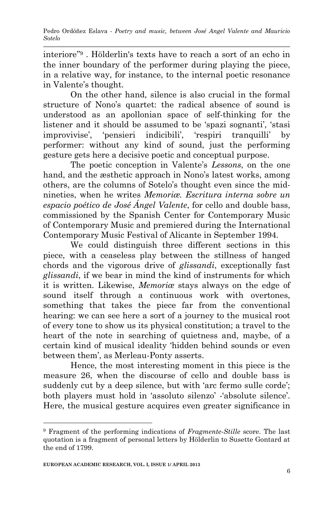interiore""<sup>9</sup> . Hölderlin's texts have to reach a sort of an echo in the inner boundary of the performer during playing the piece, in a relative way, for instance, to the internal poetic resonance in Valente's thought.

On the other hand, silence is also crucial in the formal structure of Nono's quartet: the radical absence of sound is understood as an apollonian space of self-thinking for the listener and it should be assumed to be 'spazi sognanti', 'stasi improvivise', 'pensieri indicibili', 'respiri tranquilli' by performer: without any kind of sound, just the performing gesture gets here a decisive poetic and conceptual purpose.

The poetic conception in Valente's *Lessons*, on the one hand, and the æsthetic approach in Nono's latest works, among others, are the columns of Sotelo"s thought even since the midnineties, when he writes *Memoriæ. Escritura interna sobre un espacio poético de José Ángel Valente*, for cello and double bass, commissioned by the Spanish Center for Contemporary Music of Contemporary Music and premiered during the International Contemporary Music Festival of Alicante in September 1994.

We could distinguish three different sections in this piece, with a ceaseless play between the stillness of hanged chords and the vigorous drive of *glissandi*, exceptionally fast *glissandi*, if we bear in mind the kind of instruments for which it is written. Likewise, *Memoriæ* stays always on the edge of sound itself through a continuous work with overtones, something that takes the piece far from the conventional hearing: we can see here a sort of a journey to the musical root of every tone to show us its physical constitution; a travel to the heart of the note in searching of quietness and, maybe, of a certain kind of musical ideality "hidden behind sounds or even between them", as Merleau-Ponty asserts.

Hence, the most interesting moment in this piece is the measure 26, when the discourse of cello and double bass is suddenly cut by a deep silence, but with 'arc fermo sulle corde'; both players must hold in 'assoluto silenzo' - 'absolute silence'. Here, the musical gesture acquires even greater significance in

-

<sup>9</sup> Fragment of the performing indications of *Fragmente-Stille* score. The last quotation is a fragment of personal letters by Hölderlin to Susette Gontard at the end of 1799.